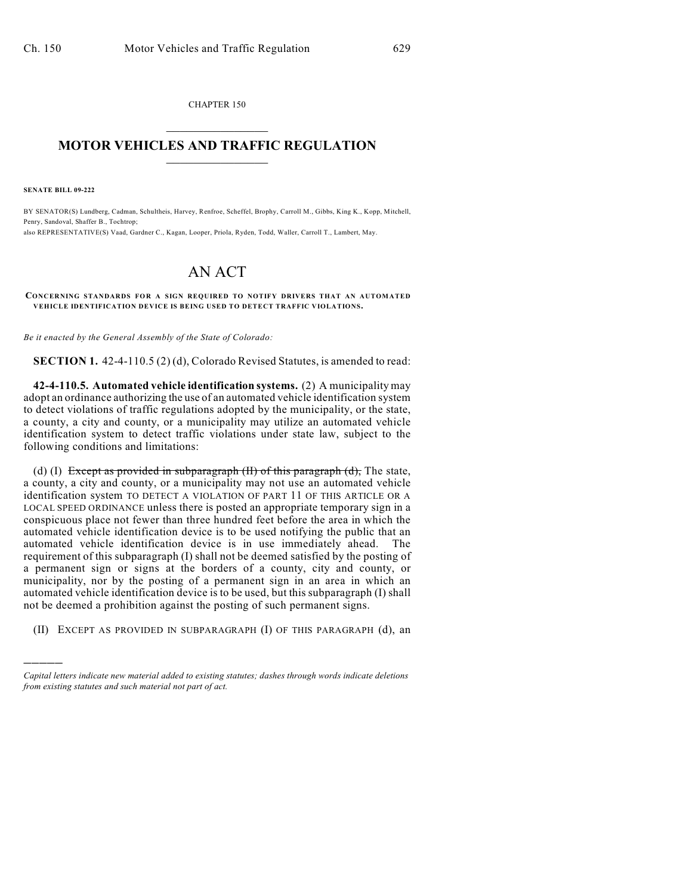CHAPTER 150  $\overline{\phantom{a}}$  . The set of the set of the set of the set of the set of the set of the set of the set of the set of the set of the set of the set of the set of the set of the set of the set of the set of the set of the set o

## **MOTOR VEHICLES AND TRAFFIC REGULATION**  $\frac{1}{2}$  ,  $\frac{1}{2}$  ,  $\frac{1}{2}$  ,  $\frac{1}{2}$  ,  $\frac{1}{2}$  ,  $\frac{1}{2}$  ,  $\frac{1}{2}$  ,  $\frac{1}{2}$

**SENATE BILL 09-222**

)))))

BY SENATOR(S) Lundberg, Cadman, Schultheis, Harvey, Renfroe, Scheffel, Brophy, Carroll M., Gibbs, King K., Kopp, Mitchell, Penry, Sandoval, Shaffer B., Tochtrop;

also REPRESENTATIVE(S) Vaad, Gardner C., Kagan, Looper, Priola, Ryden, Todd, Waller, Carroll T., Lambert, May.

## AN ACT

## **CONCERNING STANDARDS FOR A SIGN REQUIRED TO NOTIFY DRIVERS THAT AN AUTOMATED VEHICLE IDENTIFICATION DEVICE IS BEING USED TO DETECT TRAFFIC VIOLATIONS.**

*Be it enacted by the General Assembly of the State of Colorado:*

**SECTION 1.** 42-4-110.5 (2) (d), Colorado Revised Statutes, is amended to read:

**42-4-110.5. Automated vehicle identification systems.** (2) A municipality may adopt an ordinance authorizing the use of an automated vehicle identification system to detect violations of traffic regulations adopted by the municipality, or the state, a county, a city and county, or a municipality may utilize an automated vehicle identification system to detect traffic violations under state law, subject to the following conditions and limitations:

(d) (I) Except as provided in subparagraph  $(H)$  of this paragraph  $(d)$ , The state, a county, a city and county, or a municipality may not use an automated vehicle identification system TO DETECT A VIOLATION OF PART 11 OF THIS ARTICLE OR A LOCAL SPEED ORDINANCE unless there is posted an appropriate temporary sign in a conspicuous place not fewer than three hundred feet before the area in which the automated vehicle identification device is to be used notifying the public that an automated vehicle identification device is in use immediately ahead. The requirement of this subparagraph (I) shall not be deemed satisfied by the posting of a permanent sign or signs at the borders of a county, city and county, or municipality, nor by the posting of a permanent sign in an area in which an automated vehicle identification device is to be used, but this subparagraph (I) shall not be deemed a prohibition against the posting of such permanent signs.

(II) EXCEPT AS PROVIDED IN SUBPARAGRAPH (I) OF THIS PARAGRAPH (d), an

*Capital letters indicate new material added to existing statutes; dashes through words indicate deletions from existing statutes and such material not part of act.*